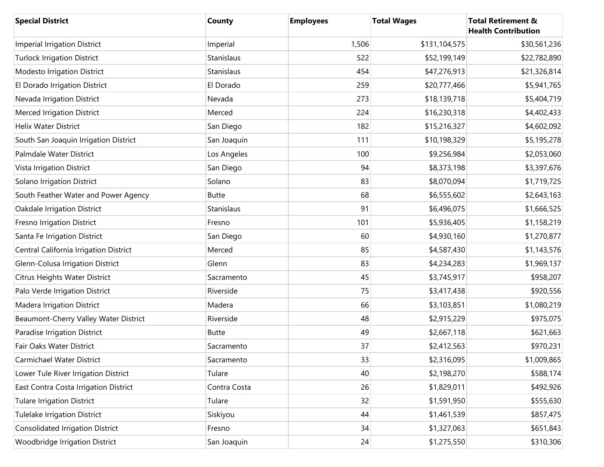| <b>Special District</b>                 | County       | <b>Employees</b> | <b>Total Wages</b> | <b>Total Retirement &amp;</b><br><b>Health Contribution</b> |
|-----------------------------------------|--------------|------------------|--------------------|-------------------------------------------------------------|
| <b>Imperial Irrigation District</b>     | Imperial     | 1,506            | \$131,104,575      | \$30,561,236                                                |
| <b>Turlock Irrigation District</b>      | Stanislaus   | 522              | \$52,199,149       | \$22,782,890                                                |
| Modesto Irrigation District             | Stanislaus   | 454              | \$47,276,913       | \$21,326,814                                                |
| El Dorado Irrigation District           | El Dorado    | 259              | \$20,777,466       | \$5,941,765                                                 |
| Nevada Irrigation District              | Nevada       | 273              | \$18,139,718       | \$5,404,719                                                 |
| <b>Merced Irrigation District</b>       | Merced       | 224              | \$16,230,318       | \$4,402,433                                                 |
| <b>Helix Water District</b>             | San Diego    | 182              | \$15,216,327       | \$4,602,092                                                 |
| South San Joaquin Irrigation District   | San Joaquin  | 111              | \$10,198,329       | \$5,195,278                                                 |
| Palmdale Water District                 | Los Angeles  | 100              | \$9,256,984        | \$2,053,060                                                 |
| Vista Irrigation District               | San Diego    | 94               | \$8,373,198        | \$3,397,676                                                 |
| Solano Irrigation District              | Solano       | 83               | \$8,070,094        | \$1,719,725                                                 |
| South Feather Water and Power Agency    | <b>Butte</b> | 68               | \$6,555,602        | \$2,643,163                                                 |
| <b>Oakdale Irrigation District</b>      | Stanislaus   | 91               | \$6,496,075        | \$1,666,525                                                 |
| Fresno Irrigation District              | Fresno       | 101              | \$5,936,405        | \$1,158,219                                                 |
| Santa Fe Irrigation District            | San Diego    | 60               | \$4,930,160        | \$1,270,877                                                 |
| Central California Irrigation District  | Merced       | 85               | \$4,587,430        | \$1,143,576                                                 |
| Glenn-Colusa Irrigation District        | Glenn        | 83               | \$4,234,283        | \$1,969,137                                                 |
| Citrus Heights Water District           | Sacramento   | 45               | \$3,745,917        | \$958,207                                                   |
| Palo Verde Irrigation District          | Riverside    | 75               | \$3,417,438        | \$920,556                                                   |
| Madera Irrigation District              | Madera       | 66               | \$3,103,851        | \$1,080,219                                                 |
| Beaumont-Cherry Valley Water District   | Riverside    | 48               | \$2,915,229        | \$975,075                                                   |
| Paradise Irrigation District            | <b>Butte</b> | 49               | \$2,667,118        | \$621,663                                                   |
| Fair Oaks Water District                | Sacramento   | 37               | \$2,412,563        | \$970,231                                                   |
| Carmichael Water District               | Sacramento   | 33               | \$2,316,095        | \$1,009,865                                                 |
| Lower Tule River Irrigation District    | Tulare       | 40               | \$2,198,270        | \$588,174                                                   |
| East Contra Costa Irrigation District   | Contra Costa | 26               | \$1,829,011        | \$492,926                                                   |
| <b>Tulare Irrigation District</b>       | Tulare       | 32               | \$1,591,950        | \$555,630                                                   |
| <b>Tulelake Irrigation District</b>     | Siskiyou     | 44               | \$1,461,539        | \$857,475                                                   |
| <b>Consolidated Irrigation District</b> | Fresno       | 34               | \$1,327,063        | \$651,843                                                   |
| Woodbridge Irrigation District          | San Joaquin  | 24               | \$1,275,550        | \$310,306                                                   |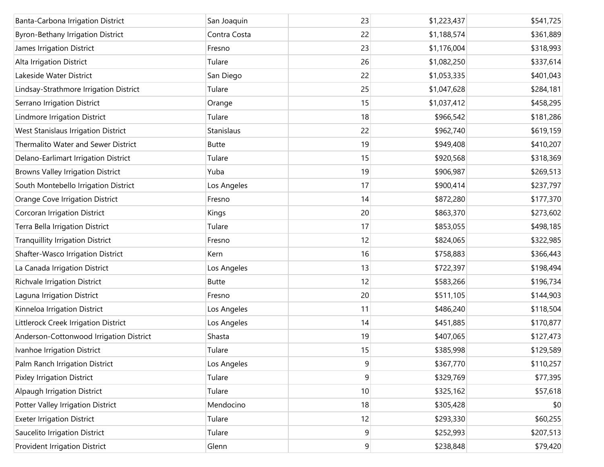| Banta-Carbona Irrigation District        | San Joaquin  | 23             | \$1,223,437 | \$541,725 |
|------------------------------------------|--------------|----------------|-------------|-----------|
| Byron-Bethany Irrigation District        | Contra Costa | 22             | \$1,188,574 | \$361,889 |
| James Irrigation District                | Fresno       | 23             | \$1,176,004 | \$318,993 |
| Alta Irrigation District                 | Tulare       | 26             | \$1,082,250 | \$337,614 |
| Lakeside Water District                  | San Diego    | 22             | \$1,053,335 | \$401,043 |
| Lindsay-Strathmore Irrigation District   | Tulare       | 25             | \$1,047,628 | \$284,181 |
| Serrano Irrigation District              | Orange       | 15             | \$1,037,412 | \$458,295 |
| Lindmore Irrigation District             | Tulare       | 18             | \$966,542   | \$181,286 |
| West Stanislaus Irrigation District      | Stanislaus   | 22             | \$962,740   | \$619,159 |
| Thermalito Water and Sewer District      | <b>Butte</b> | 19             | \$949,408   | \$410,207 |
| Delano-Earlimart Irrigation District     | Tulare       | 15             | \$920,568   | \$318,369 |
| <b>Browns Valley Irrigation District</b> | Yuba         | 19             | \$906,987   | \$269,513 |
| South Montebello Irrigation District     | Los Angeles  | 17             | \$900,414   | \$237,797 |
| Orange Cove Irrigation District          | Fresno       | 14             | \$872,280   | \$177,370 |
| Corcoran Irrigation District             | Kings        | 20             | \$863,370   | \$273,602 |
| Terra Bella Irrigation District          | Tulare       | 17             | \$853,055   | \$498,185 |
| <b>Tranquillity Irrigation District</b>  | Fresno       | 12             | \$824,065   | \$322,985 |
| Shafter-Wasco Irrigation District        | Kern         | 16             | \$758,883   | \$366,443 |
| La Canada Irrigation District            | Los Angeles  | 13             | \$722,397   | \$198,494 |
| Richvale Irrigation District             | <b>Butte</b> | 12             | \$583,266   | \$196,734 |
| Laguna Irrigation District               | Fresno       | 20             | \$511,105   | \$144,903 |
| Kinneloa Irrigation District             | Los Angeles  | 11             | \$486,240   | \$118,504 |
| Littlerock Creek Irrigation District     | Los Angeles  | 14             | \$451,885   | \$170,877 |
| Anderson-Cottonwood Irrigation District  | Shasta       | 19             | \$407,065   | \$127,473 |
| Ivanhoe Irrigation District              | Tulare       | 15             | \$385,998   | \$129,589 |
| Palm Ranch Irrigation District           | Los Angeles  | 9              | \$367,770   | \$110,257 |
| <b>Pixley Irrigation District</b>        | Tulare       | 9              | \$329,769   | \$77,395  |
| <b>Alpaugh Irrigation District</b>       | Tulare       | $10$           | \$325,162   | \$57,618  |
| Potter Valley Irrigation District        | Mendocino    | 18             | \$305,428   | \$0       |
| <b>Exeter Irrigation District</b>        | Tulare       | 12             | \$293,330   | \$60,255  |
| Saucelito Irrigation District            | Tulare       | 9              | \$252,993   | \$207,513 |
| Provident Irrigation District            | Glenn        | $\overline{9}$ | \$238,848   | \$79,420  |